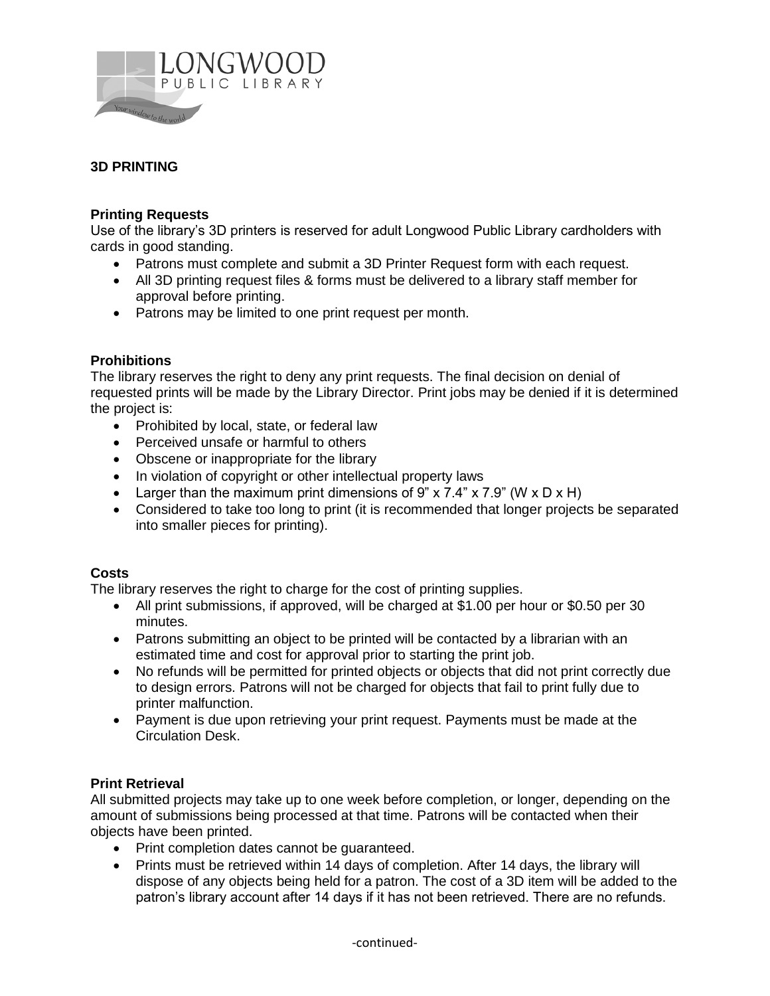

# **3D PRINTING**

### **Printing Requests**

Use of the library's 3D printers is reserved for adult Longwood Public Library cardholders with cards in good standing.

- Patrons must complete and submit a 3D Printer Request form with each request.
- All 3D printing request files & forms must be delivered to a library staff member for approval before printing.
- Patrons may be limited to one print request per month.

### **Prohibitions**

The library reserves the right to deny any print requests. The final decision on denial of requested prints will be made by the Library Director. Print jobs may be denied if it is determined the project is:

- Prohibited by local, state, or federal law
- Perceived unsafe or harmful to others
- Obscene or inappropriate for the library
- In violation of copyright or other intellectual property laws
- Example 1 Larger than the maximum print dimensions of 9" x 7.4" x 7.9" (W x D x H)
- Considered to take too long to print (it is recommended that longer projects be separated into smaller pieces for printing).

## **Costs**

The library reserves the right to charge for the cost of printing supplies.

- All print submissions, if approved, will be charged at \$1.00 per hour or \$0.50 per 30 minutes.
- Patrons submitting an object to be printed will be contacted by a librarian with an estimated time and cost for approval prior to starting the print job.
- No refunds will be permitted for printed objects or objects that did not print correctly due to design errors. Patrons will not be charged for objects that fail to print fully due to printer malfunction.
- Payment is due upon retrieving your print request. Payments must be made at the Circulation Desk.

## **Print Retrieval**

All submitted projects may take up to one week before completion, or longer, depending on the amount of submissions being processed at that time. Patrons will be contacted when their objects have been printed.

- Print completion dates cannot be guaranteed.
- Prints must be retrieved within 14 days of completion. After 14 days, the library will dispose of any objects being held for a patron. The cost of a 3D item will be added to the patron's library account after 14 days if it has not been retrieved. There are no refunds.